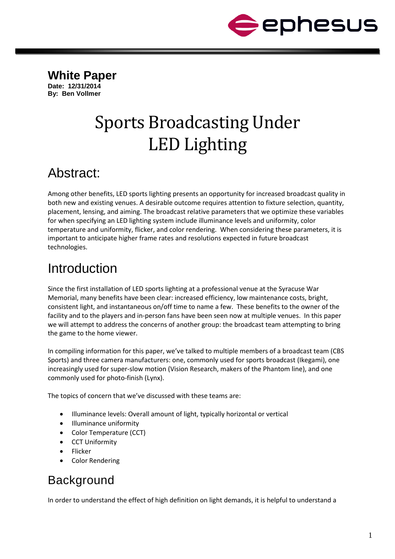

**White Paper Date: 12/31/2014 By: Ben Vollmer**

# Sports Broadcasting Under LED Lighting

#### Abstract:

Among other benefits, LED sports lighting presents an opportunity for increased broadcast quality in both new and existing venues. A desirable outcome requires attention to fixture selection, quantity, placement, lensing, and aiming. The broadcast relative parameters that we optimize these variables for when specifying an LED lighting system include illuminance levels and uniformity, color temperature and uniformity, flicker, and color rendering. When considering these parameters, it is important to anticipate higher frame rates and resolutions expected in future broadcast technologies.

## Introduction

Since the first installation of LED sports lighting at a professional venue at the Syracuse War Memorial, many benefits have been clear: increased efficiency, low maintenance costs, bright, consistent light, and instantaneous on/off time to name a few. These benefits to the owner of the facility and to the players and in-person fans have been seen now at multiple venues. In this paper we will attempt to address the concerns of another group: the broadcast team attempting to bring the game to the home viewer.

In compiling information for this paper, we've talked to multiple members of a broadcast team (CBS Sports) and three camera manufacturers: one, commonly used for sports broadcast (Ikegami), one increasingly used for super-slow motion (Vision Research, makers of the Phantom line), and one commonly used for photo-finish (Lynx).

The topics of concern that we've discussed with these teams are:

- Illuminance levels: Overall amount of light, typically horizontal or vertical
- Illuminance uniformity
- Color Temperature (CCT)
- **CCT Uniformity**
- Flicker
- Color Rendering

#### **Background**

In order to understand the effect of high definition on light demands, it is helpful to understand a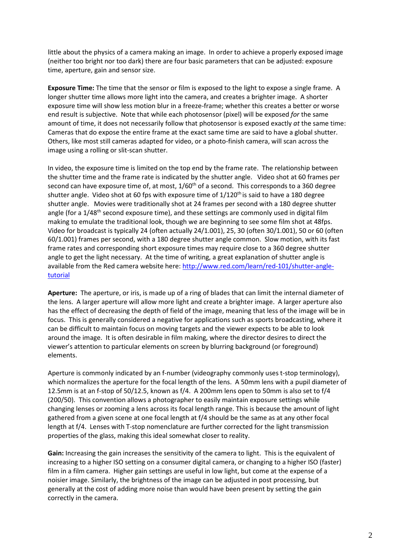little about the physics of a camera making an image. In order to achieve a properly exposed image (neither too bright nor too dark) there are four basic parameters that can be adjusted: exposure time, aperture, gain and sensor size.

**Exposure Time:** The time that the sensor or film is exposed to the light to expose a single frame. A longer shutter time allows more light into the camera, and creates a brighter image. A shorter exposure time will show less motion blur in a freeze-frame; whether this creates a better or worse end result is subjective. Note that while each photosensor (pixel) will be exposed *for* the same amount of time, it does not necessarily follow that photosensor is exposed exactly *at* the same time: Cameras that do expose the entire frame at the exact same time are said to have a global shutter. Others, like most still cameras adapted for video, or a photo-finish camera, will scan across the image using a rolling or slit-scan shutter.

In video, the exposure time is limited on the top end by the frame rate. The relationship between the shutter time and the frame rate is indicated by the shutter angle. Video shot at 60 frames per second can have exposure time of, at most, 1/60<sup>th</sup> of a second. This corresponds to a 360 degree shutter angle. Video shot at 60 fps with exposure time of  $1/120<sup>th</sup>$  is said to have a 180 degree shutter angle. Movies were traditionally shot at 24 frames per second with a 180 degree shutter angle (for a  $1/48<sup>th</sup>$  second exposure time), and these settings are commonly used in digital film making to emulate the traditional look, though we are beginning to see some film shot at 48fps. Video for broadcast is typically 24 (often actually 24/1.001), 25, 30 (often 30/1.001), 50 or 60 (often 60/1.001) frames per second, with a 180 degree shutter angle common. Slow motion, with its fast frame rates and corresponding short exposure times may require close to a 360 degree shutter angle to get the light necessary. At the time of writing, a great explanation of shutter angle is available from the Red camera website here: [http://www.red.com/learn/red-101/shutter-angle](http://www.red.com/learn/red-101/shutter-angle-tutorial)[tutorial](http://www.red.com/learn/red-101/shutter-angle-tutorial)

**Aperture:** The aperture, or iris, is made up of a ring of blades that can limit the internal diameter of the lens. A larger aperture will allow more light and create a brighter image. A larger aperture also has the effect of decreasing the depth of field of the image, meaning that less of the image will be in focus. This is generally considered a negative for applications such as sports broadcasting, where it can be difficult to maintain focus on moving targets and the viewer expects to be able to look around the image. It is often desirable in film making, where the director desires to direct the viewer's attention to particular elements on screen by blurring background (or foreground) elements.

Aperture is commonly indicated by an f-number (videography commonly uses t-stop terminology), which normalizes the aperture for the focal length of the lens. A 50mm lens with a pupil diameter of 12.5mm is at an f-stop of 50/12.5, known as f/4. A 200mm lens open to 50mm is also set to f/4 (200/50). This convention allows a photographer to easily maintain exposure settings while changing lenses or zooming a lens across its focal length range. This is because the amount of light gathered from a given scene at one focal length at f/4 should be the same as at any other focal length at f/4. Lenses with T-stop nomenclature are further corrected for the light transmission properties of the glass, making this ideal somewhat closer to reality.

**Gain:** Increasing the gain increases the sensitivity of the camera to light. This is the equivalent of increasing to a higher ISO setting on a consumer digital camera, or changing to a higher ISO (faster) film in a film camera. Higher gain settings are useful in low light, but come at the expense of a noisier image. Similarly, the brightness of the image can be adjusted in post processing, but generally at the cost of adding more noise than would have been present by setting the gain correctly in the camera.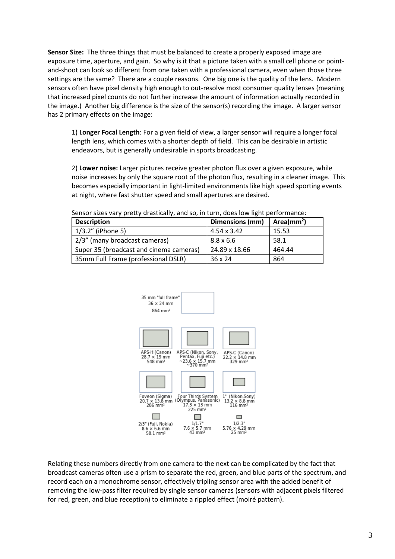**Sensor Size:** The three things that must be balanced to create a properly exposed image are exposure time, aperture, and gain. So why is it that a picture taken with a small cell phone or pointand-shoot can look so different from one taken with a professional camera, even when those three settings are the same? There are a couple reasons. One big one is the quality of the lens. Modern sensors often have pixel density high enough to out-resolve most consumer quality lenses (meaning that increased pixel counts do not further increase the amount of information actually recorded in the image.) Another big difference is the size of the sensor(s) recording the image. A larger sensor has 2 primary effects on the image:

1) **Longer Focal Length**: For a given field of view, a larger sensor will require a longer focal length lens, which comes with a shorter depth of field. This can be desirable in artistic endeavors, but is generally undesirable in sports broadcasting.

2) **Lower noise:** Larger pictures receive greater photon flux over a given exposure, while noise increases by only the square root of the photon flux, resulting in a cleaner image. This becomes especially important in light-limited environments like high speed sporting events at night, where fast shutter speed and small apertures are desired.

| <b>Description</b>                      | Dimensions (mm)  | Area( $mm2$ ) |
|-----------------------------------------|------------------|---------------|
| 1/3.2" (iPhone 5)                       | 4.54 x 3.42      | 15.53         |
| 2/3" (many broadcast cameras)           | $8.8 \times 6.6$ | -58.1         |
| Super 35 (broadcast and cinema cameras) | 24.89 x 18.66    | 464.44        |
| 35mm Full Frame (professional DSLR)     | $36 \times 24$   | 864           |

Sensor sizes vary pretty drastically, and so, in turn, does low light performance:



Relating these numbers directly from one camera to the next can be complicated by the fact that broadcast cameras often use a prism to separate the red, green, and blue parts of the spectrum, and record each on a monochrome sensor, effectively tripling sensor area with the added benefit of removing the low-pass filter required by single sensor cameras (sensors with adjacent pixels filtered for red, green, and blue reception) to eliminate a rippled effect (moiré pattern).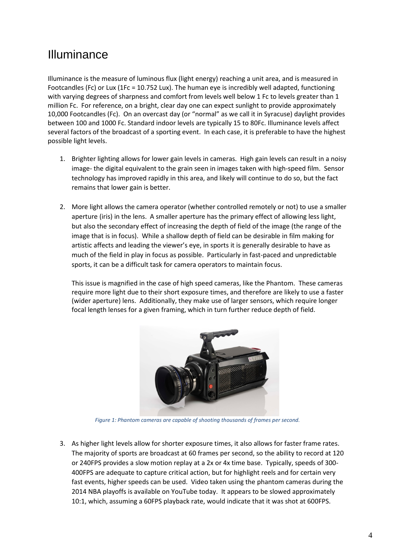#### Illuminance

Illuminance is the measure of luminous flux (light energy) reaching a unit area, and is measured in Footcandles (Fc) or Lux (1Fc = 10.752 Lux). The human eye is incredibly well adapted, functioning with varying degrees of sharpness and comfort from levels well below 1 Fc to levels greater than 1 million Fc. For reference, on a bright, clear day one can expect sunlight to provide approximately 10,000 Footcandles (Fc). On an overcast day (or "normal" as we call it in Syracuse) daylight provides between 100 and 1000 Fc. Standard indoor levels are typically 15 to 80Fc. Illuminance levels affect several factors of the broadcast of a sporting event. In each case, it is preferable to have the highest possible light levels.

- 1. Brighter lighting allows for lower gain levels in cameras. High gain levels can result in a noisy image- the digital equivalent to the grain seen in images taken with high-speed film. Sensor technology has improved rapidly in this area, and likely will continue to do so, but the fact remains that lower gain is better.
- 2. More light allows the camera operator (whether controlled remotely or not) to use a smaller aperture (iris) in the lens. A smaller aperture has the primary effect of allowing less light, but also the secondary effect of increasing the depth of field of the image (the range of the image that is in focus). While a shallow depth of field can be desirable in film making for artistic affects and leading the viewer's eye, in sports it is generally desirable to have as much of the field in play in focus as possible. Particularly in fast-paced and unpredictable sports, it can be a difficult task for camera operators to maintain focus.

This issue is magnified in the case of high speed cameras, like the Phantom. These cameras require more light due to their short exposure times, and therefore are likely to use a faster (wider aperture) lens. Additionally, they make use of larger sensors, which require longer focal length lenses for a given framing, which in turn further reduce depth of field.



*Figure 1: Phantom cameras are capable of shooting thousands of frames per second.*

3. As higher light levels allow for shorter exposure times, it also allows for faster frame rates. The majority of sports are broadcast at 60 frames per second, so the ability to record at 120 or 240FPS provides a slow motion replay at a 2x or 4x time base. Typically, speeds of 300- 400FPS are adequate to capture critical action, but for highlight reels and for certain very fast events, higher speeds can be used. Video taken using the phantom cameras during the 2014 NBA playoffs is available on YouTube today. It appears to be slowed approximately 10:1, which, assuming a 60FPS playback rate, would indicate that it was shot at 600FPS.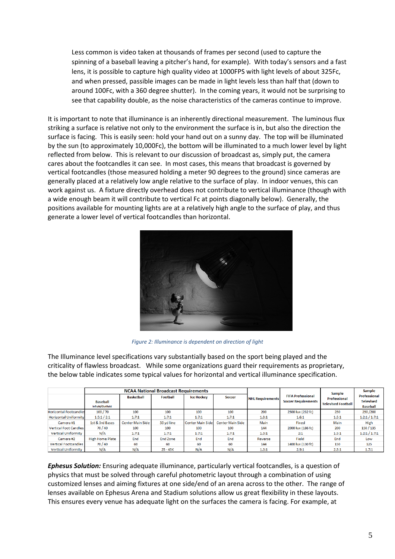Less common is video taken at thousands of frames per second (used to capture the spinning of a baseball leaving a pitcher's hand, for example). With today's sensors and a fast lens, it is possible to capture high quality video at 1000FPS with light levels of about 325Fc, and when pressed, passible images can be made in light levels less than half that (down to around 100Fc, with a 360 degree shutter). In the coming years, it would not be surprising to see that capability double, as the noise characteristics of the cameras continue to improve.

It is important to note that illuminance is an inherently directional measurement. The luminous flux striking a surface is relative not only to the environment the surface is in, but also the direction the surface is facing. This is easily seen: hold your hand out on a sunny day. The top will be illuminated by the sun (to approximately 10,000Fc), the bottom will be illuminated to a much lower level by light reflected from below. This is relevant to our discussion of broadcast as, simply put, the camera cares about the footcandles it can see. In most cases, this means that broadcast is governed by vertical footcandles (those measured holding a meter 90 degrees to the ground) since cameras are generally placed at a relatively low angle relative to the surface of play. In indoor venues, this can work against us. A fixture directly overhead does not contribute to vertical illuminance (though with a wide enough beam it will contribute to vertical Fc at points diagonally below). Generally, the positions available for mounting lights are at a relatively high angle to the surface of play, and thus generate a lower level of vertical footcandles than horizontal.



*Figure 2: Illuminance is dependent on direction of light*

The Illuminance level specifications vary substantially based on the sport being played and the criticality of flawless broadcast. While some organizations guard their requirements as proprietary, the below table indicates some typical values for horizontal and vertical illuminance specification.

|                               | <b>NCAA National Broadcast Requirements</b> |                         |                 |                         |                         |                         |                                                        | <b>Sample</b>                                    | <b>Sample</b>                                              |
|-------------------------------|---------------------------------------------|-------------------------|-----------------|-------------------------|-------------------------|-------------------------|--------------------------------------------------------|--------------------------------------------------|------------------------------------------------------------|
|                               | <b>Baseball</b><br>Infield/Outfield         | <b>Basketball</b>       | <b>Football</b> | <b>Ice Hockey</b>       | <b>Soccer</b>           | <b>NHL Requirements</b> | <b>FIFA Professional</b><br><b>Soccer Requirements</b> | <b>Professional</b><br><b>Televised Football</b> | <b>Professional</b><br><b>Televised</b><br><b>Baseball</b> |
| <b>Horizontal Footcandles</b> | 100 / 70                                    | 100                     | 100             | 100                     | 100                     | 200                     | 2500 lux (232 fc)                                      | 250                                              | 250/200                                                    |
| <b>Horizontal Uniformity</b>  | 1.5:1/2:1                                   | 1.7:1                   | 1.7:1           | 1.7:1                   | 1.7:1                   | 1.3:1                   | 1.6:1                                                  | 1.5:1                                            | 1.2:1/1.7:1                                                |
| Camera#1                      | 1st & 3rd Bases                             | <b>Center Main Side</b> | 50 yd line      | <b>Center Main Side</b> | <b>Center Main Side</b> | Main                    | Fixed                                                  | Main                                             | High                                                       |
| <b>Vertical Foot Candles</b>  | 70 / 40                                     | 100                     | 100             | 100                     | 100                     | 144                     | 2000 lux (186 fc)                                      | 200                                              | 150 / 135                                                  |
| <b>Vertical Uniformity</b>    | N/A                                         | 1.7:1                   | 1.7:1           | 1.7:1                   | 1.7:1                   | 1.3:1                   | 2:1                                                    | 1.5:1                                            | 1.2:1/1.7:1                                                |
| Camera#2                      | <b>High Home Plate</b>                      | End                     | End Zone        | End                     | End                     | Reverse                 | Field                                                  | End                                              | Low                                                        |
| <b>Vertical Footcandles</b>   | 70 / 40                                     | 60                      | 60              | 60                      | 60                      | 144                     | 1400 lux (130 fc)                                      | 150                                              | 125                                                        |
| <b>Vertical Uniformity</b>    | N/A                                         | N/A                     | $25 - 45K$      | N/A                     | N/A                     | 1.3:1                   | 2.9:1                                                  | 2.5:1                                            | 1.7:1                                                      |

*Ephesus Solution:* Ensuring adequate illuminance, particularly vertical footcandles, is a question of physics that must be solved through careful photometric layout through a combination of using customized lenses and aiming fixtures at one side/end of an arena across to the other. The range of lenses available on Ephesus Arena and Stadium solutions allow us great flexibility in these layouts. This ensures every venue has adequate light on the surfaces the camera is facing. For example, at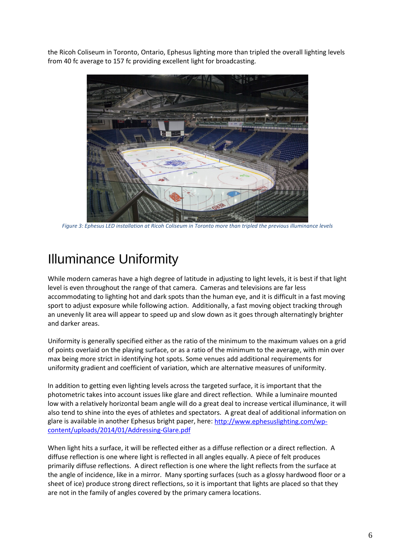the Ricoh Coliseum in Toronto, Ontario, Ephesus lighting more than tripled the overall lighting levels from 40 fc average to 157 fc providing excellent light for broadcasting.



*Figure 3: Ephesus LED installation at Ricoh Coliseum in Toronto more than tripled the previous illuminance levels*

### Illuminance Uniformity

While modern cameras have a high degree of latitude in adjusting to light levels, it is best if that light level is even throughout the range of that camera. Cameras and televisions are far less accommodating to lighting hot and dark spots than the human eye, and it is difficult in a fast moving sport to adjust exposure while following action. Additionally, a fast moving object tracking through an unevenly lit area will appear to speed up and slow down as it goes through alternatingly brighter and darker areas.

Uniformity is generally specified either as the ratio of the minimum to the maximum values on a grid of points overlaid on the playing surface, or as a ratio of the minimum to the average, with min over max being more strict in identifying hot spots. Some venues add additional requirements for uniformity gradient and coefficient of variation, which are alternative measures of uniformity.

In addition to getting even lighting levels across the targeted surface, it is important that the photometric takes into account issues like glare and direct reflection. While a luminaire mounted low with a relatively horizontal beam angle will do a great deal to increase vertical illuminance, it will also tend to shine into the eyes of athletes and spectators. A great deal of additional information on glare is available in another Ephesus bright paper, here: [http://www.ephesuslighting.com/wp](http://www.ephesuslighting.com/wp-content/uploads/2014/01/Addressing-Glare.pdf)[content/uploads/2014/01/Addressing-Glare.pdf](http://www.ephesuslighting.com/wp-content/uploads/2014/01/Addressing-Glare.pdf) 

When light hits a surface, it will be reflected either as a diffuse reflection or a direct reflection. A diffuse reflection is one where light is reflected in all angles equally. A piece of felt produces primarily diffuse reflections. A direct reflection is one where the light reflects from the surface at the angle of incidence, like in a mirror. Many sporting surfaces (such as a glossy hardwood floor or a sheet of ice) produce strong direct reflections, so it is important that lights are placed so that they are not in the family of angles covered by the primary camera locations.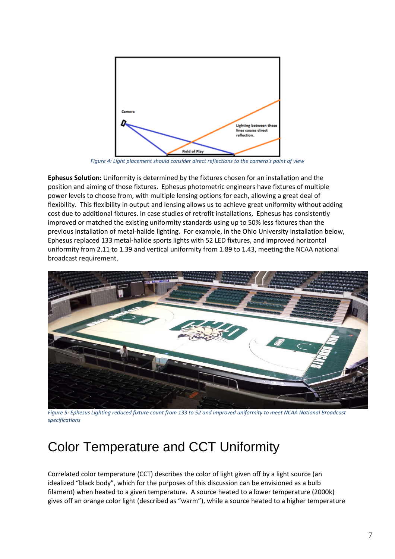

*Figure 4: Light placement should consider direct reflections to the camera's point of view*

**Ephesus Solution:** Uniformity is determined by the fixtures chosen for an installation and the position and aiming of those fixtures. Ephesus photometric engineers have fixtures of multiple power levels to choose from, with multiple lensing options for each, allowing a great deal of flexibility. This flexibility in output and lensing allows us to achieve great uniformity without adding cost due to additional fixtures. In case studies of retrofit installations, Ephesus has consistently improved or matched the existing uniformity standards using up to 50% less fixtures than the previous installation of metal-halide lighting. For example, in the Ohio University installation below, Ephesus replaced 133 metal-halide sports lights with 52 LED fixtures, and improved horizontal uniformity from 2.11 to 1.39 and vertical uniformity from 1.89 to 1.43, meeting the NCAA national broadcast requirement.



*Figure 5: Ephesus Lighting reduced fixture count from 133 to 52 and improved uniformity to meet NCAA National Broadcast specifications*

#### Color Temperature and CCT Uniformity

Correlated color temperature (CCT) describes the color of light given off by a light source (an idealized "black body", which for the purposes of this discussion can be envisioned as a bulb filament) when heated to a given temperature. A source heated to a lower temperature (2000k) gives off an orange color light (described as "warm"), while a source heated to a higher temperature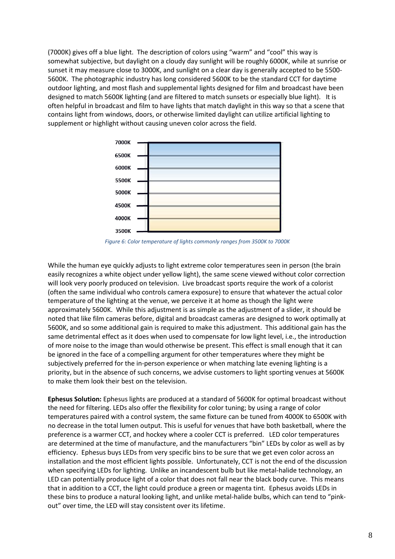(7000K) gives off a blue light. The description of colors using "warm" and "cool" this way is somewhat subjective, but daylight on a cloudy day sunlight will be roughly 6000K, while at sunrise or sunset it may measure close to 3000K, and sunlight on a clear day is generally accepted to be 5500- 5600K. The photographic industry has long considered 5600K to be the standard CCT for daytime outdoor lighting, and most flash and supplemental lights designed for film and broadcast have been designed to match 5600K lighting (and are filtered to match sunsets or especially blue light). It is often helpful in broadcast and film to have lights that match daylight in this way so that a scene that contains light from windows, doors, or otherwise limited daylight can utilize artificial lighting to supplement or highlight without causing uneven color across the field.



*Figure 6: Color temperature of lights commonly ranges from 3500K to 7000K*

While the human eye quickly adjusts to light extreme color temperatures seen in person (the brain easily recognizes a white object under yellow light), the same scene viewed without color correction will look very poorly produced on television. Live broadcast sports require the work of a colorist (often the same individual who controls camera exposure) to ensure that whatever the actual color temperature of the lighting at the venue, we perceive it at home as though the light were approximately 5600K. While this adjustment is as simple as the adjustment of a slider, it should be noted that like film cameras before, digital and broadcast cameras are designed to work optimally at 5600K, and so some additional gain is required to make this adjustment. This additional gain has the same detrimental effect as it does when used to compensate for low light level, i.e., the introduction of more noise to the image than would otherwise be present. This effect is small enough that it can be ignored in the face of a compelling argument for other temperatures where they might be subjectively preferred for the in-person experience or when matching late evening lighting is a priority, but in the absence of such concerns, we advise customers to light sporting venues at 5600K to make them look their best on the television.

**Ephesus Solution:** Ephesus lights are produced at a standard of 5600K for optimal broadcast without the need for filtering. LEDs also offer the flexibility for color tuning; by using a range of color temperatures paired with a control system, the same fixture can be tuned from 4000K to 6500K with no decrease in the total lumen output. This is useful for venues that have both basketball, where the preference is a warmer CCT, and hockey where a cooler CCT is preferred. LED color temperatures are determined at the time of manufacture, and the manufacturers "bin" LEDs by color as well as by efficiency. Ephesus buys LEDs from very specific bins to be sure that we get even color across an installation and the most efficient lights possible. Unfortunately, CCT is not the end of the discussion when specifying LEDs for lighting. Unlike an incandescent bulb but like metal-halide technology, an LED can potentially produce light of a color that does not fall near the black body curve. This means that in addition to a CCT, the light could produce a green or magenta tint. Ephesus avoids LEDs in these bins to produce a natural looking light, and unlike metal-halide bulbs, which can tend to "pinkout" over time, the LED will stay consistent over its lifetime.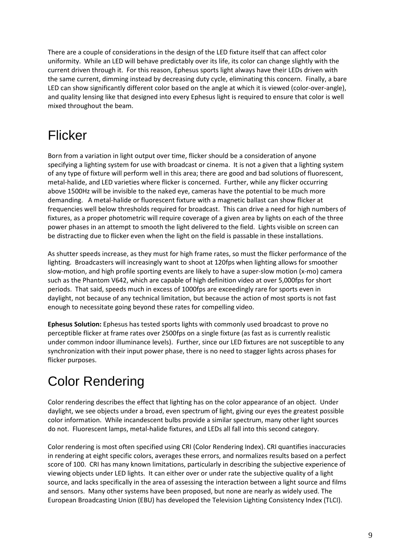There are a couple of considerations in the design of the LED fixture itself that can affect color uniformity. While an LED will behave predictably over its life, its color can change slightly with the current driven through it. For this reason, Ephesus sports light always have their LEDs driven with the same current, dimming instead by decreasing duty cycle, eliminating this concern. Finally, a bare LED can show significantly different color based on the angle at which it is viewed (color-over-angle), and quality lensing like that designed into every Ephesus light is required to ensure that color is well mixed throughout the beam.

## Flicker

Born from a variation in light output over time, flicker should be a consideration of anyone specifying a lighting system for use with broadcast or cinema. It is not a given that a lighting system of any type of fixture will perform well in this area; there are good and bad solutions of fluorescent, metal-halide, and LED varieties where flicker is concerned. Further, while any flicker occurring above 1500Hz will be invisible to the naked eye, cameras have the potential to be much more demanding. A metal-halide or fluorescent fixture with a magnetic ballast can show flicker at frequencies well below thresholds required for broadcast. This can drive a need for high numbers of fixtures, as a proper photometric will require coverage of a given area by lights on each of the three power phases in an attempt to smooth the light delivered to the field. Lights visible on screen can be distracting due to flicker even when the light on the field is passable in these installations.

As shutter speeds increase, as they must for high frame rates, so must the flicker performance of the lighting. Broadcasters will increasingly want to shoot at 120fps when lighting allows for smoother slow-motion, and high profile sporting events are likely to have a super-slow motion (x-mo) camera such as the Phantom V642, which are capable of high definition video at over 5,000fps for short periods. That said, speeds much in excess of 1000fps are exceedingly rare for sports even in daylight, not because of any technical limitation, but because the action of most sports is not fast enough to necessitate going beyond these rates for compelling video.

**Ephesus Solution:** Ephesus has tested sports lights with commonly used broadcast to prove no perceptible flicker at frame rates over 2500fps on a single fixture (as fast as is currently realistic under common indoor illuminance levels). Further, since our LED fixtures are not susceptible to any synchronization with their input power phase, there is no need to stagger lights across phases for flicker purposes.

# Color Rendering

Color rendering describes the effect that lighting has on the color appearance of an object. Under daylight, we see objects under a broad, even spectrum of light, giving our eyes the greatest possible color information. While incandescent bulbs provide a similar spectrum, many other light sources do not. Fluorescent lamps, metal-halide fixtures, and LEDs all fall into this second category.

Color rendering is most often specified using CRI (Color Rendering Index). CRI quantifies inaccuracies in rendering at eight specific colors, averages these errors, and normalizes results based on a perfect score of 100. CRI has many known limitations, particularly in describing the subjective experience of viewing objects under LED lights. It can either over or under rate the subjective quality of a light source, and lacks specifically in the area of assessing the interaction between a light source and films and sensors. Many other systems have been proposed, but none are nearly as widely used. The European Broadcasting Union (EBU) has developed the Television Lighting Consistency Index (TLCI).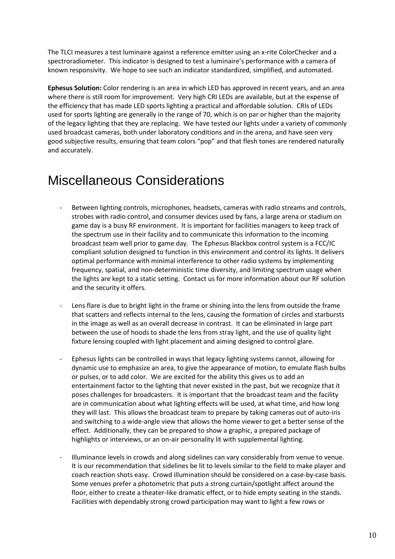The TLCI measures a test luminaire against a reference emitter using an x-rite ColorChecker and a spectroradiometer. This indicator is designed to test a luminaire's performance with a camera of known responsivity. We hope to see such an indicator standardized, simplified, and automated.

**Ephesus Solution:** Color rendering is an area in which LED has approved in recent years, and an area where there is still room for improvement. Very high CRI LEDs are available, but at the expense of the efficiency that has made LED sports lighting a practical and affordable solution. CRIs of LEDs used for sports lighting are generally in the range of 70, which is on par or higher than the majority of the legacy lighting that they are replacing. We have tested our lights under a variety of commonly used broadcast cameras, both under laboratory conditions and in the arena, and have seen very good subjective results, ensuring that team colors "pop" and that flesh tones are rendered naturally and accurately.

#### Miscellaneous Considerations

- Between lighting controls, microphones, headsets, cameras with radio streams and controls, strobes with radio control, and consumer devices used by fans, a large arena or stadium on game day is a busy RF environment. It is important for facilities managers to keep track of the spectrum use in their facility and to communicate this information to the incoming broadcast team well prior to game day. The Ephesus Blackbox control system is a FCC/IC compliant solution designed to function in this environment and control its lights. It delivers optimal performance with minimal interference to other radio systems by implementing frequency, spatial, and non-deterministic time diversity, and limiting spectrum usage when the lights are kept to a static setting. Contact us for more information about our RF solution and the security it offers.
- Lens flare is due to bright light in the frame or shining into the lens from outside the frame that scatters and reflects internal to the lens, causing the formation of circles and starbursts in the image as well as an overall decrease in contrast. It can be eliminated in large part between the use of hoods to shade the lens from stray light, and the use of quality light fixture lensing coupled with light placement and aiming designed to control glare.
- Ephesus lights can be controlled in ways that legacy lighting systems cannot, allowing for dynamic use to emphasize an area, to give the appearance of motion, to emulate flash bulbs or pulses, or to add color. We are excited for the ability this gives us to add an entertainment factor to the lighting that never existed in the past, but we recognize that it poses challenges for broadcasters. It is important that the broadcast team and the facility are in communication about what lighting effects will be used, at what time, and how long they will last. This allows the broadcast team to prepare by taking cameras out of auto-iris and switching to a wide-angle view that allows the home viewer to get a better sense of the effect. Additionally, they can be prepared to show a graphic, a prepared package of highlights or interviews, or an on-air personality lit with supplemental lighting.
- Illuminance levels in crowds and along sidelines can vary considerably from venue to venue. It is our recommendation that sidelines be lit to levels similar to the field to make player and coach reaction shots easy. Crowd illumination should be considered on a case-by-case basis. Some venues prefer a photometric that puts a strong curtain/spotlight affect around the floor, either to create a theater-like dramatic effect, or to hide empty seating in the stands. Facilities with dependably strong crowd participation may want to light a few rows or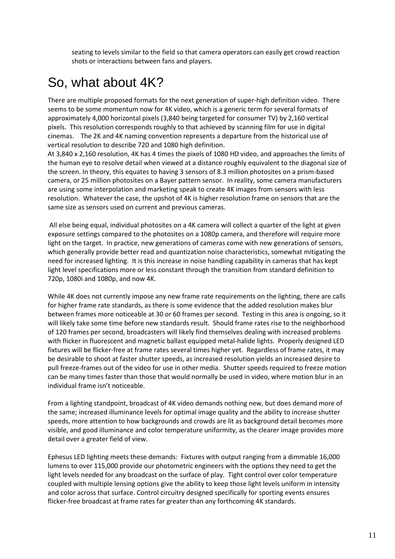seating to levels similar to the field so that camera operators can easily get crowd reaction shots or interactions between fans and players.

### So, what about 4K?

There are multiple proposed formats for the next generation of super-high definition video. There seems to be some momentum now for 4K video, which is a generic term for several formats of approximately 4,000 horizontal pixels (3,840 being targeted for consumer TV) by 2,160 vertical pixels. This resolution corresponds roughly to that achieved by scanning film for use in digital cinemas. The 2K and 4K naming convention represents a departure from the historical use of vertical resolution to describe 720 and 1080 high definition.

At 3,840 x 2,160 resolution, 4K has 4 times the pixels of 1080 HD video, and approaches the limits of the human eye to resolve detail when viewed at a distance roughly equivalent to the diagonal size of the screen. In theory, this equates to having 3 sensors of 8.3 million photosites on a prism-based camera, or 25 million photosites on a Bayer pattern sensor. In reality, some camera manufacturers are using some interpolation and marketing speak to create 4K images from sensors with less resolution. Whatever the case, the upshot of 4K is higher resolution frame on sensors that are the same size as sensors used on current and previous cameras.

All else being equal, individual photosites on a 4K camera will collect a quarter of the light at given exposure settings compared to the photosites on a 1080p camera, and therefore will require more light on the target. In practice, new generations of cameras come with new generations of sensors, which generally provide better read and quantization noise characteristics, somewhat mitigating the need for increased lighting. It is this increase in noise handling capability in cameras that has kept light level specifications more or less constant through the transition from standard definition to 720p, 1080i and 1080p, and now 4K.

While 4K does not currently impose any new frame rate requirements on the lighting, there are calls for higher frame rate standards, as there is some evidence that the added resolution makes blur between frames more noticeable at 30 or 60 frames per second. Testing in this area is ongoing, so it will likely take some time before new standards result. Should frame rates rise to the neighborhood of 120 frames per second, broadcasters will likely find themselves dealing with increased problems with flicker in fluorescent and magnetic ballast equipped metal-halide lights. Properly designed LED fixtures will be flicker-free at frame rates several times higher yet. Regardless of frame rates, it may be desirable to shoot at faster shutter speeds, as increased resolution yields an increased desire to pull freeze-frames out of the video for use in other media. Shutter speeds required to freeze motion can be many times faster than those that would normally be used in video, where motion blur in an individual frame isn't noticeable.

From a lighting standpoint, broadcast of 4K video demands nothing new, but does demand more of the same; increased illuminance levels for optimal image quality and the ability to increase shutter speeds, more attention to how backgrounds and crowds are lit as background detail becomes more visible, and good illuminance and color temperature uniformity, as the clearer image provides more detail over a greater field of view.

Ephesus LED lighting meets these demands: Fixtures with output ranging from a dimmable 16,000 lumens to over 115,000 provide our photometric engineers with the options they need to get the light levels needed for any broadcast on the surface of play. Tight control over color temperature coupled with multiple lensing options give the ability to keep those light levels uniform in intensity and color across that surface. Control circuitry designed specifically for sporting events ensures flicker-free broadcast at frame rates far greater than any forthcoming 4K standards.